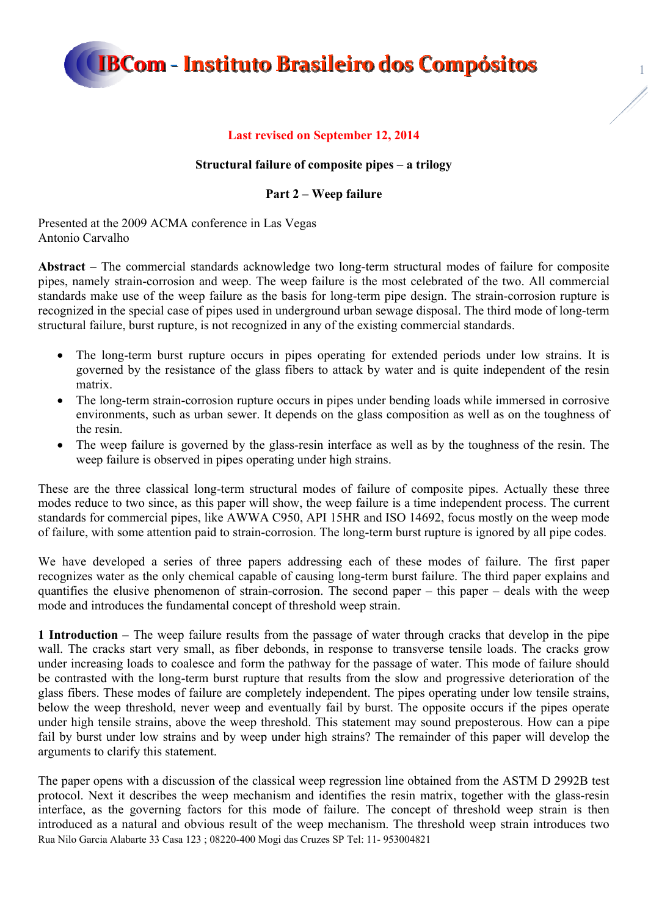1

### **Last revised on September 12, 2014**

#### **Structural failure of composite pipes – a trilogy**

#### **Part 2 – Weep failure**

Presented at the 2009 ACMA conference in Las Vegas Antonio Carvalho

**Abstract –** The commercial standards acknowledge two long-term structural modes of failure for composite pipes, namely strain-corrosion and weep. The weep failure is the most celebrated of the two. All commercial standards make use of the weep failure as the basis for long-term pipe design. The strain-corrosion rupture is recognized in the special case of pipes used in underground urban sewage disposal. The third mode of long-term structural failure, burst rupture, is not recognized in any of the existing commercial standards.

- The long-term burst rupture occurs in pipes operating for extended periods under low strains. It is governed by the resistance of the glass fibers to attack by water and is quite independent of the resin matrix.
- The long-term strain-corrosion rupture occurs in pipes under bending loads while immersed in corrosive environments, such as urban sewer. It depends on the glass composition as well as on the toughness of the resin.
- The weep failure is governed by the glass-resin interface as well as by the toughness of the resin. The weep failure is observed in pipes operating under high strains.

These are the three classical long-term structural modes of failure of composite pipes. Actually these three modes reduce to two since, as this paper will show, the weep failure is a time independent process. The current standards for commercial pipes, like AWWA C950, API 15HR and ISO 14692, focus mostly on the weep mode of failure, with some attention paid to strain-corrosion. The long-term burst rupture is ignored by all pipe codes.

We have developed a series of three papers addressing each of these modes of failure. The first paper recognizes water as the only chemical capable of causing long-term burst failure. The third paper explains and quantifies the elusive phenomenon of strain-corrosion. The second paper – this paper – deals with the weep mode and introduces the fundamental concept of threshold weep strain.

**1 Introduction –** The weep failure results from the passage of water through cracks that develop in the pipe wall. The cracks start very small, as fiber debonds, in response to transverse tensile loads. The cracks grow under increasing loads to coalesce and form the pathway for the passage of water. This mode of failure should be contrasted with the long-term burst rupture that results from the slow and progressive deterioration of the glass fibers. These modes of failure are completely independent. The pipes operating under low tensile strains, below the weep threshold, never weep and eventually fail by burst. The opposite occurs if the pipes operate under high tensile strains, above the weep threshold. This statement may sound preposterous. How can a pipe fail by burst under low strains and by weep under high strains? The remainder of this paper will develop the arguments to clarify this statement.

Rua Nilo Garcia Alabarte 33 Casa 123 ; 08220-400 Mogi das Cruzes SP Tel: 11- 953004821 The paper opens with a discussion of the classical weep regression line obtained from the ASTM D 2992B test protocol. Next it describes the weep mechanism and identifies the resin matrix, together with the glass-resin interface, as the governing factors for this mode of failure. The concept of threshold weep strain is then introduced as a natural and obvious result of the weep mechanism. The threshold weep strain introduces two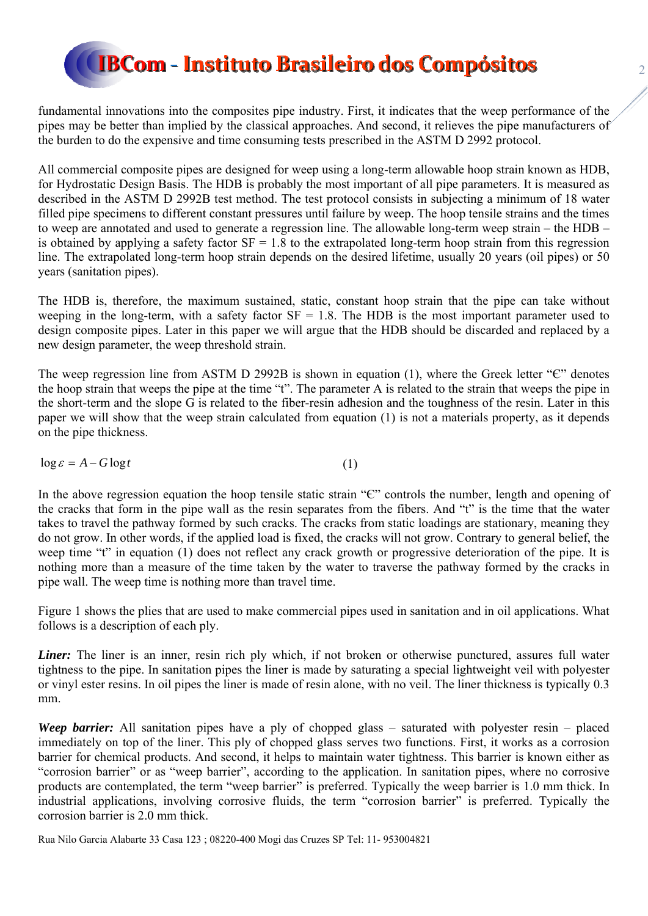fundamental innovations into the composites pipe industry. First, it indicates that the weep performance of the pipes may be better than implied by the classical approaches. And second, it relieves the pipe manufacturers of the burden to do the expensive and time consuming tests prescribed in the ASTM D 2992 protocol.

All commercial composite pipes are designed for weep using a long-term allowable hoop strain known as HDB, for Hydrostatic Design Basis. The HDB is probably the most important of all pipe parameters. It is measured as described in the ASTM D 2992B test method. The test protocol consists in subjecting a minimum of 18 water filled pipe specimens to different constant pressures until failure by weep. The hoop tensile strains and the times to weep are annotated and used to generate a regression line. The allowable long-term weep strain – the HDB – is obtained by applying a safety factor  $SF = 1.8$  to the extrapolated long-term hoop strain from this regression line. The extrapolated long-term hoop strain depends on the desired lifetime, usually 20 years (oil pipes) or 50 years (sanitation pipes).

The HDB is, therefore, the maximum sustained, static, constant hoop strain that the pipe can take without weeping in the long-term, with a safety factor  $SF = 1.8$ . The HDB is the most important parameter used to design composite pipes. Later in this paper we will argue that the HDB should be discarded and replaced by a new design parameter, the weep threshold strain.

The weep regression line from ASTM D 2992B is shown in equation (1), where the Greek letter "C" denotes the hoop strain that weeps the pipe at the time "t". The parameter A is related to the strain that weeps the pipe in the short-term and the slope G is related to the fiber-resin adhesion and the toughness of the resin. Later in this paper we will show that the weep strain calculated from equation (1) is not a materials property, as it depends on the pipe thickness.

 $\log \varepsilon = A - G \log t$  (1)

In the above regression equation the hoop tensile static strain "Є" controls the number, length and opening of the cracks that form in the pipe wall as the resin separates from the fibers. And "t" is the time that the water takes to travel the pathway formed by such cracks. The cracks from static loadings are stationary, meaning they do not grow. In other words, if the applied load is fixed, the cracks will not grow. Contrary to general belief, the weep time "t" in equation (1) does not reflect any crack growth or progressive deterioration of the pipe. It is nothing more than a measure of the time taken by the water to traverse the pathway formed by the cracks in pipe wall. The weep time is nothing more than travel time.

Figure 1 shows the plies that are used to make commercial pipes used in sanitation and in oil applications. What follows is a description of each ply.

*Liner*: The liner is an inner, resin rich ply which, if not broken or otherwise punctured, assures full water tightness to the pipe. In sanitation pipes the liner is made by saturating a special lightweight veil with polyester or vinyl ester resins. In oil pipes the liner is made of resin alone, with no veil. The liner thickness is typically 0.3 mm.

*Weep barrier:* All sanitation pipes have a ply of chopped glass – saturated with polyester resin – placed immediately on top of the liner. This ply of chopped glass serves two functions. First, it works as a corrosion barrier for chemical products. And second, it helps to maintain water tightness. This barrier is known either as "corrosion barrier" or as "weep barrier", according to the application. In sanitation pipes, where no corrosive products are contemplated, the term "weep barrier" is preferred. Typically the weep barrier is 1.0 mm thick. In industrial applications, involving corrosive fluids, the term "corrosion barrier" is preferred. Typically the corrosion barrier is 2.0 mm thick.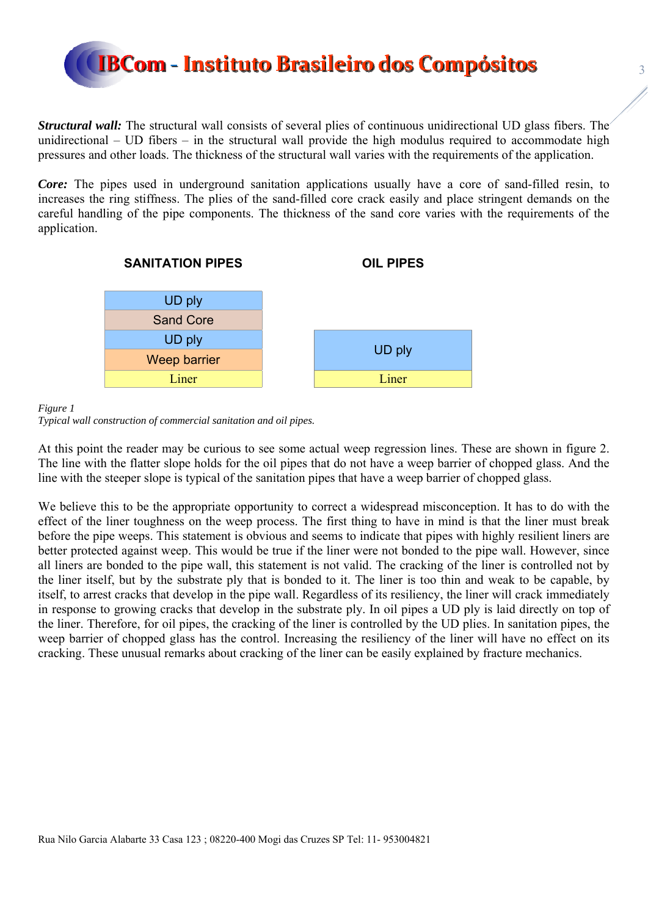

*Structural wall:* The structural wall consists of several plies of continuous unidirectional UD glass fibers. The unidirectional – UD fibers – in the structural wall provide the high modulus required to accommodate high pressures and other loads. The thickness of the structural wall varies with the requirements of the application.

*Core:* The pipes used in underground sanitation applications usually have a core of sand-filled resin, to increases the ring stiffness. The plies of the sand-filled core crack easily and place stringent demands on the careful handling of the pipe components. The thickness of the sand core varies with the requirements of the application.



*Figure 1* 

At this point the reader may be curious to see some actual weep regression lines. These are shown in figure 2. The line with the flatter slope holds for the oil pipes that do not have a weep barrier of chopped glass. And the line with the steeper slope is typical of the sanitation pipes that have a weep barrier of chopped glass.

We believe this to be the appropriate opportunity to correct a widespread misconception. It has to do with the effect of the liner toughness on the weep process. The first thing to have in mind is that the liner must break before the pipe weeps. This statement is obvious and seems to indicate that pipes with highly resilient liners are better protected against weep. This would be true if the liner were not bonded to the pipe wall. However, since all liners are bonded to the pipe wall, this statement is not valid. The cracking of the liner is controlled not by the liner itself, but by the substrate ply that is bonded to it. The liner is too thin and weak to be capable, by itself, to arrest cracks that develop in the pipe wall. Regardless of its resiliency, the liner will crack immediately in response to growing cracks that develop in the substrate ply. In oil pipes a UD ply is laid directly on top of the liner. Therefore, for oil pipes, the cracking of the liner is controlled by the UD plies. In sanitation pipes, the weep barrier of chopped glass has the control. Increasing the resiliency of the liner will have no effect on its cracking. These unusual remarks about cracking of the liner can be easily explained by fracture mechanics.

*Typical wall construction of commercial sanitation and oil pipes.*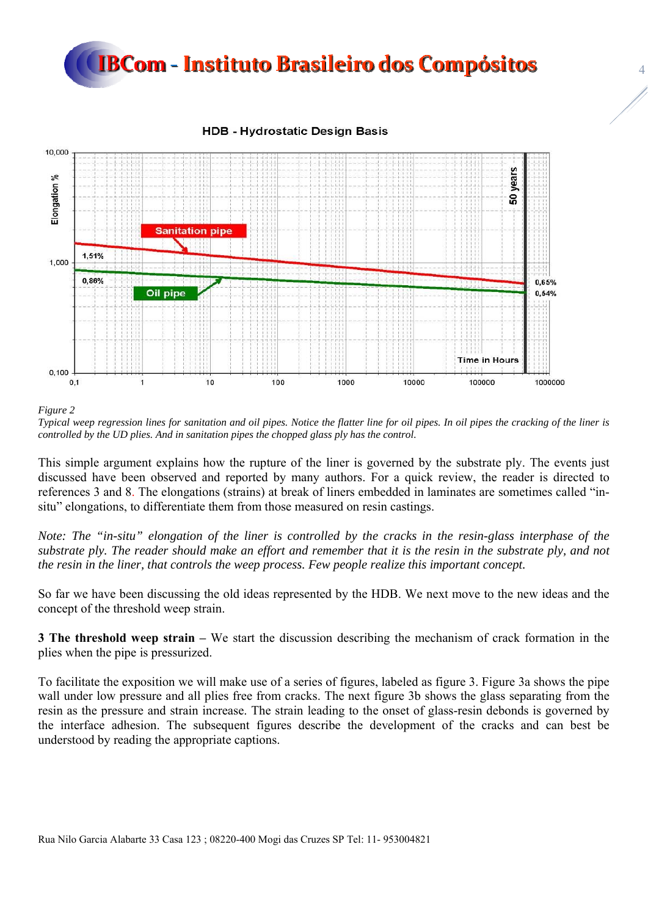

#### **HDB - Hydrostatic Design Basis**



*Figure 2* 

*Typical weep regression lines for sanitation and oil pipes. Notice the flatter line for oil pipes. In oil pipes the cracking of the liner is controlled by the UD plies. And in sanitation pipes the chopped glass ply has the control.*

This simple argument explains how the rupture of the liner is governed by the substrate ply. The events just discussed have been observed and reported by many authors. For a quick review, the reader is directed to references 3 and 8. The elongations (strains) at break of liners embedded in laminates are sometimes called "insitu" elongations, to differentiate them from those measured on resin castings.

*Note: The "in-situ" elongation of the liner is controlled by the cracks in the resin-glass interphase of the substrate ply. The reader should make an effort and remember that it is the resin in the substrate ply, and not the resin in the liner, that controls the weep process. Few people realize this important concept.* 

So far we have been discussing the old ideas represented by the HDB. We next move to the new ideas and the concept of the threshold weep strain.

**3 The threshold weep strain –** We start the discussion describing the mechanism of crack formation in the plies when the pipe is pressurized.

To facilitate the exposition we will make use of a series of figures, labeled as figure 3. Figure 3a shows the pipe wall under low pressure and all plies free from cracks. The next figure 3b shows the glass separating from the resin as the pressure and strain increase. The strain leading to the onset of glass-resin debonds is governed by the interface adhesion. The subsequent figures describe the development of the cracks and can best be understood by reading the appropriate captions.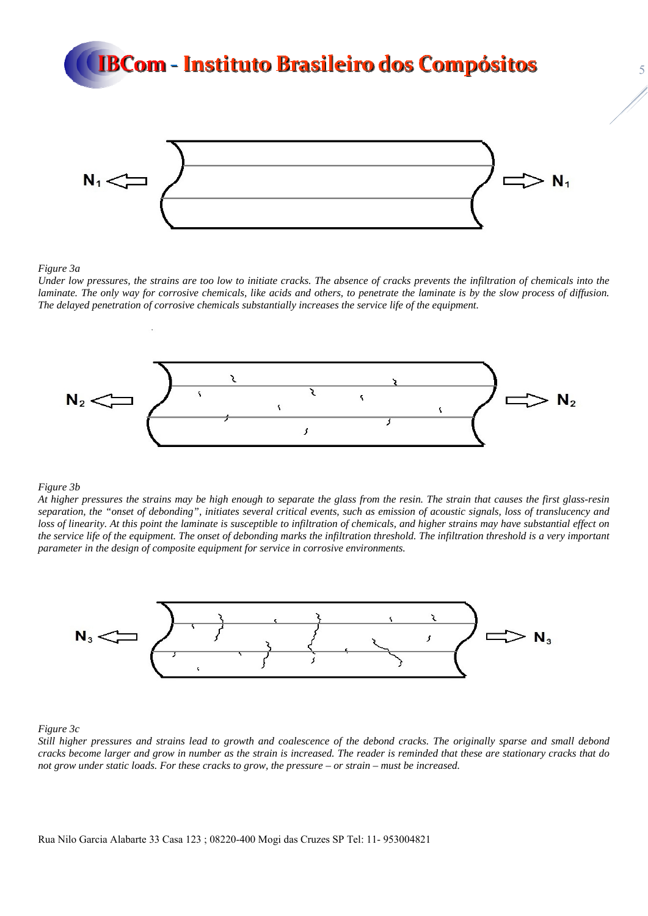

*Figure 3a* 

*Under low pressures, the strains are too low to initiate cracks. The absence of cracks prevents the infiltration of chemicals into the laminate. The only way for corrosive chemicals, like acids and others, to penetrate the laminate is by the slow process of diffusion. The delayed penetration of corrosive chemicals substantially increases the service life of the equipment.* 



#### *Figure 3b*

*At higher pressures the strains may be high enough to separate the glass from the resin. The strain that causes the first glass-resin separation, the "onset of debonding", initiates several critical events, such as emission of acoustic signals, loss of translucency and loss of linearity. At this point the laminate is susceptible to infiltration of chemicals, and higher strains may have substantial effect on the service life of the equipment. The onset of debonding marks the infiltration threshold. The infiltration threshold is a very important parameter in the design of composite equipment for service in corrosive environments.*



*Figure 3c* 

*Still higher pressures and strains lead to growth and coalescence of the debond cracks. The originally sparse and small debond cracks become larger and grow in number as the strain is increased. The reader is reminded that these are stationary cracks that do not grow under static loads. For these cracks to grow, the pressure – or strain – must be increased.*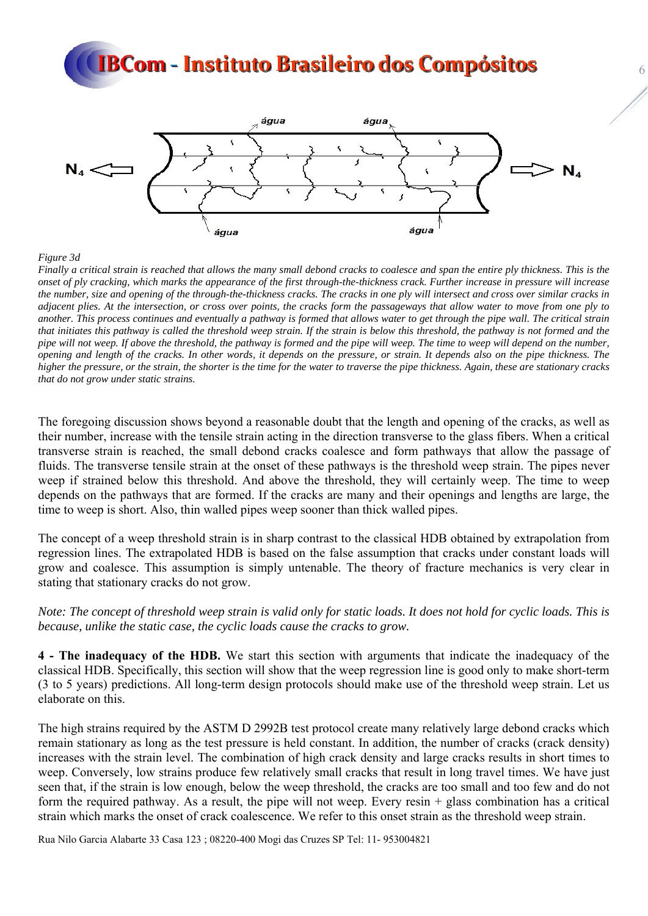

#### *Figure 3d*

*Finally a critical strain is reached that allows the many small debond cracks to coalesce and span the entire ply thickness. This is the onset of ply cracking, which marks the appearance of the first through-the-thickness crack. Further increase in pressure will increase the number, size and opening of the through-the-thickness cracks. The cracks in one ply will intersect and cross over similar cracks in adjacent plies. At the intersection, or cross over points, the cracks form the passageways that allow water to move from one ply to another. This process continues and eventually a pathway is formed that allows water to get through the pipe wall. The critical strain that initiates this pathway is called the threshold weep strain. If the strain is below this threshold, the pathway is not formed and the pipe will not weep. If above the threshold, the pathway is formed and the pipe will weep. The time to weep will depend on the number, opening and length of the cracks. In other words, it depends on the pressure, or strain. It depends also on the pipe thickness. The higher the pressure, or the strain, the shorter is the time for the water to traverse the pipe thickness. Again, these are stationary cracks that do not grow under static strains.* 

The foregoing discussion shows beyond a reasonable doubt that the length and opening of the cracks, as well as their number, increase with the tensile strain acting in the direction transverse to the glass fibers. When a critical transverse strain is reached, the small debond cracks coalesce and form pathways that allow the passage of fluids. The transverse tensile strain at the onset of these pathways is the threshold weep strain. The pipes never weep if strained below this threshold. And above the threshold, they will certainly weep. The time to weep depends on the pathways that are formed. If the cracks are many and their openings and lengths are large, the time to weep is short. Also, thin walled pipes weep sooner than thick walled pipes.

The concept of a weep threshold strain is in sharp contrast to the classical HDB obtained by extrapolation from regression lines. The extrapolated HDB is based on the false assumption that cracks under constant loads will grow and coalesce. This assumption is simply untenable. The theory of fracture mechanics is very clear in stating that stationary cracks do not grow.

*Note: The concept of threshold weep strain is valid only for static loads. It does not hold for cyclic loads. This is because, unlike the static case, the cyclic loads cause the cracks to grow.* 

**4 - The inadequacy of the HDB.** We start this section with arguments that indicate the inadequacy of the classical HDB. Specifically, this section will show that the weep regression line is good only to make short-term (3 to 5 years) predictions. All long-term design protocols should make use of the threshold weep strain. Let us elaborate on this.

The high strains required by the ASTM D 2992B test protocol create many relatively large debond cracks which remain stationary as long as the test pressure is held constant. In addition, the number of cracks (crack density) increases with the strain level. The combination of high crack density and large cracks results in short times to weep. Conversely, low strains produce few relatively small cracks that result in long travel times. We have just seen that, if the strain is low enough, below the weep threshold, the cracks are too small and too few and do not form the required pathway. As a result, the pipe will not weep. Every resin + glass combination has a critical strain which marks the onset of crack coalescence. We refer to this onset strain as the threshold weep strain.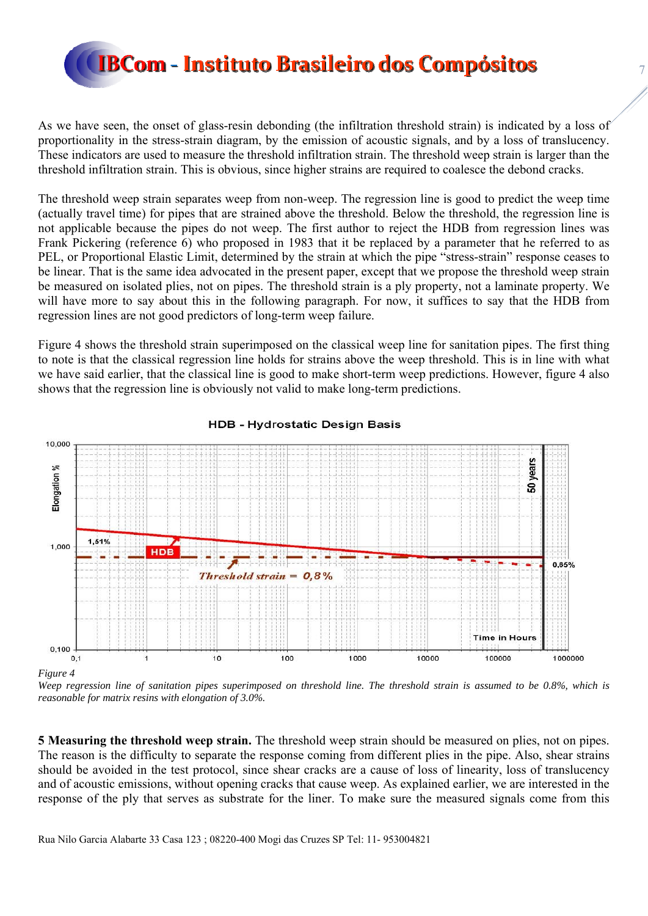

As we have seen, the onset of glass-resin debonding (the infiltration threshold strain) is indicated by a loss of proportionality in the stress-strain diagram, by the emission of acoustic signals, and by a loss of translucency. These indicators are used to measure the threshold infiltration strain. The threshold weep strain is larger than the threshold infiltration strain. This is obvious, since higher strains are required to coalesce the debond cracks.

The threshold weep strain separates weep from non-weep. The regression line is good to predict the weep time (actually travel time) for pipes that are strained above the threshold. Below the threshold, the regression line is not applicable because the pipes do not weep. The first author to reject the HDB from regression lines was Frank Pickering (reference 6) who proposed in 1983 that it be replaced by a parameter that he referred to as PEL, or Proportional Elastic Limit, determined by the strain at which the pipe "stress-strain" response ceases to be linear. That is the same idea advocated in the present paper, except that we propose the threshold weep strain be measured on isolated plies, not on pipes. The threshold strain is a ply property, not a laminate property. We will have more to say about this in the following paragraph. For now, it suffices to say that the HDB from regression lines are not good predictors of long-term weep failure.

Figure 4 shows the threshold strain superimposed on the classical weep line for sanitation pipes. The first thing to note is that the classical regression line holds for strains above the weep threshold. This is in line with what we have said earlier, that the classical line is good to make short-term weep predictions. However, figure 4 also shows that the regression line is obviously not valid to make long-term predictions.



#### **HDB - Hydrostatic Design Basis**

*Weep regression line of sanitation pipes superimposed on threshold line. The threshold strain is assumed to be 0.8%, which is reasonable for matrix resins with elongation of 3.0%.* 

**5 Measuring the threshold weep strain.** The threshold weep strain should be measured on plies, not on pipes. The reason is the difficulty to separate the response coming from different plies in the pipe. Also, shear strains should be avoided in the test protocol, since shear cracks are a cause of loss of linearity, loss of translucency and of acoustic emissions, without opening cracks that cause weep. As explained earlier, we are interested in the response of the ply that serves as substrate for the liner. To make sure the measured signals come from this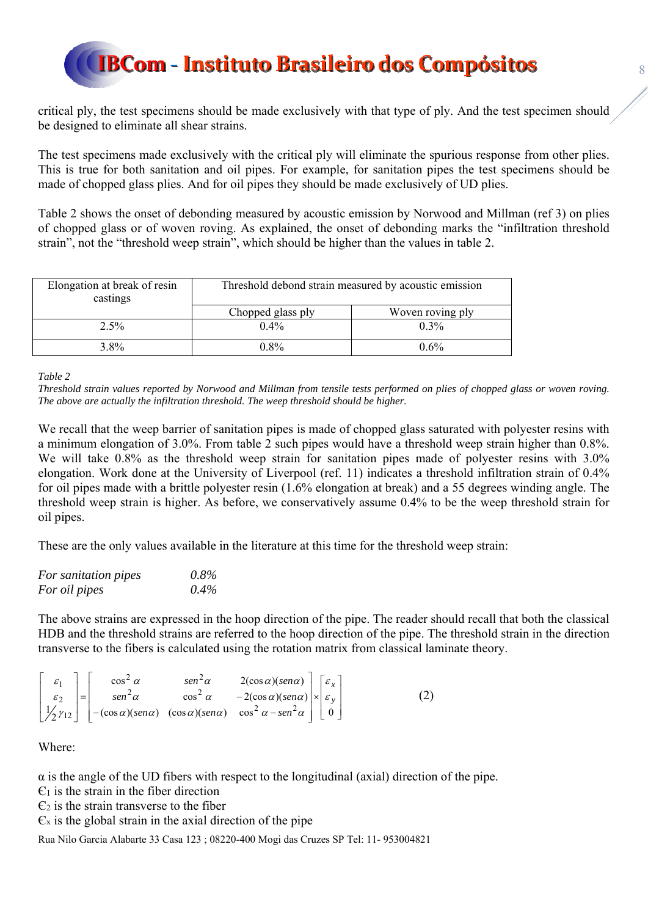critical ply, the test specimens should be made exclusively with that type of ply. And the test specimen should be designed to eliminate all shear strains.

The test specimens made exclusively with the critical ply will eliminate the spurious response from other plies. This is true for both sanitation and oil pipes. For example, for sanitation pipes the test specimens should be made of chopped glass plies. And for oil pipes they should be made exclusively of UD plies.

Table 2 shows the onset of debonding measured by acoustic emission by Norwood and Millman (ref 3) on plies of chopped glass or of woven roving. As explained, the onset of debonding marks the "infiltration threshold strain", not the "threshold weep strain", which should be higher than the values in table 2.

| Elongation at break of resin<br>castings | Threshold debond strain measured by acoustic emission |                  |
|------------------------------------------|-------------------------------------------------------|------------------|
|                                          | Chopped glass ply                                     | Woven roving ply |
| 2.5%                                     | $0.4\%$                                               | $0.3\%$          |
| $3.8\%$                                  | $0.8\%$                                               | $0.6\%$          |

*Table 2* 

*Threshold strain values reported by Norwood and Millman from tensile tests performed on plies of chopped glass or woven roving. The above are actually the infiltration threshold. The weep threshold should be higher.* 

We recall that the weep barrier of sanitation pipes is made of chopped glass saturated with polyester resins with a minimum elongation of 3.0%. From table 2 such pipes would have a threshold weep strain higher than 0.8%. We will take 0.8% as the threshold weep strain for sanitation pipes made of polyester resins with 3.0% elongation. Work done at the University of Liverpool (ref. 11) indicates a threshold infiltration strain of 0.4% for oil pipes made with a brittle polyester resin (1.6% elongation at break) and a 55 degrees winding angle. The threshold weep strain is higher. As before, we conservatively assume 0.4% to be the weep threshold strain for oil pipes.

These are the only values available in the literature at this time for the threshold weep strain:

| For sanitation pipes | $0.8\%$ |
|----------------------|---------|
| For oil pipes        | $0.4\%$ |

The above strains are expressed in the hoop direction of the pipe. The reader should recall that both the classical HDB and the threshold strains are referred to the hoop direction of the pipe. The threshold strain in the direction transverse to the fibers is calculated using the rotation matrix from classical laminate theory.

$$
\begin{bmatrix} \varepsilon_1 \\ \varepsilon_2 \\ \frac{1}{2}\gamma_{12} \end{bmatrix} = \begin{bmatrix} \cos^2 \alpha & \sin^2 \alpha & 2(\cos \alpha)(\sin \alpha) \\ \sin^2 \alpha & \cos^2 \alpha & -2(\cos \alpha)(\sin \alpha) \\ -(\cos \alpha)(\sin \alpha) & (\cos \alpha)(\sin \alpha) & \cos^2 \alpha - \sin^2 \alpha \end{bmatrix} \begin{bmatrix} \varepsilon_x \\ \varepsilon_y \\ 0 \end{bmatrix}
$$
 (2)

Where:

 $\alpha$  is the angle of the UD fibers with respect to the longitudinal (axial) direction of the pipe.

 $\epsilon_1$  is the strain in the fiber direction

 $\epsilon_2$  is the strain transverse to the fiber

 $\epsilon_x$  is the global strain in the axial direction of the pipe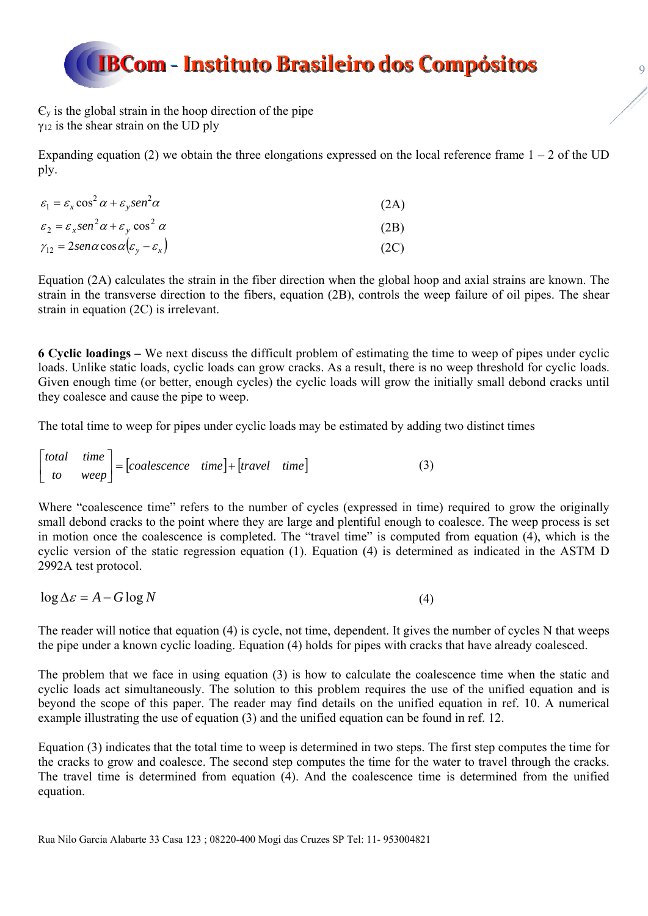$\epsilon_{y}$  is the global strain in the hoop direction of the pipe  $y_{12}$  is the shear strain on the UD ply

Expanding equation (2) we obtain the three elongations expressed on the local reference frame  $1 - 2$  of the UD ply.

| $\varepsilon_1 = \varepsilon_x \cos^2 \alpha + \varepsilon_y \sin^2 \alpha$       | (2A) |
|-----------------------------------------------------------------------------------|------|
| $\varepsilon_2 = \varepsilon_x \sin^2 \alpha + \varepsilon_y \cos^2 \alpha$       | (2B) |
| $\gamma_{12} = 2 \text{sen} \alpha \cos \alpha ( \varepsilon_v - \varepsilon_x )$ | (2C) |

Equation (2A) calculates the strain in the fiber direction when the global hoop and axial strains are known. The strain in the transverse direction to the fibers, equation (2B), controls the weep failure of oil pipes. The shear strain in equation (2C) is irrelevant.

**6 Cyclic loadings –** We next discuss the difficult problem of estimating the time to weep of pipes under cyclic loads. Unlike static loads, cyclic loads can grow cracks. As a result, there is no weep threshold for cyclic loads. Given enough time (or better, enough cycles) the cyclic loads will grow the initially small debond cracks until they coalesce and cause the pipe to weep.

The total time to weep for pipes under cyclic loads may be estimated by adding two distinct times

$$
\begin{bmatrix} total & time \\ to & weep \end{bmatrix} = [coalescence & time] + [travel & time] \tag{3}
$$

Where "coalescence time" refers to the number of cycles (expressed in time) required to grow the originally small debond cracks to the point where they are large and plentiful enough to coalesce. The weep process is set in motion once the coalescence is completed. The "travel time" is computed from equation (4), which is the cyclic version of the static regression equation (1). Equation (4) is determined as indicated in the ASTM D 2992A test protocol.

 $\log \Delta \varepsilon = A - G \log N$  (4)

The reader will notice that equation (4) is cycle, not time, dependent. It gives the number of cycles N that weeps the pipe under a known cyclic loading. Equation (4) holds for pipes with cracks that have already coalesced.

The problem that we face in using equation (3) is how to calculate the coalescence time when the static and cyclic loads act simultaneously. The solution to this problem requires the use of the unified equation and is beyond the scope of this paper. The reader may find details on the unified equation in ref. 10. A numerical example illustrating the use of equation (3) and the unified equation can be found in ref. 12.

Equation (3) indicates that the total time to weep is determined in two steps. The first step computes the time for the cracks to grow and coalesce. The second step computes the time for the water to travel through the cracks. The travel time is determined from equation (4). And the coalescence time is determined from the unified equation.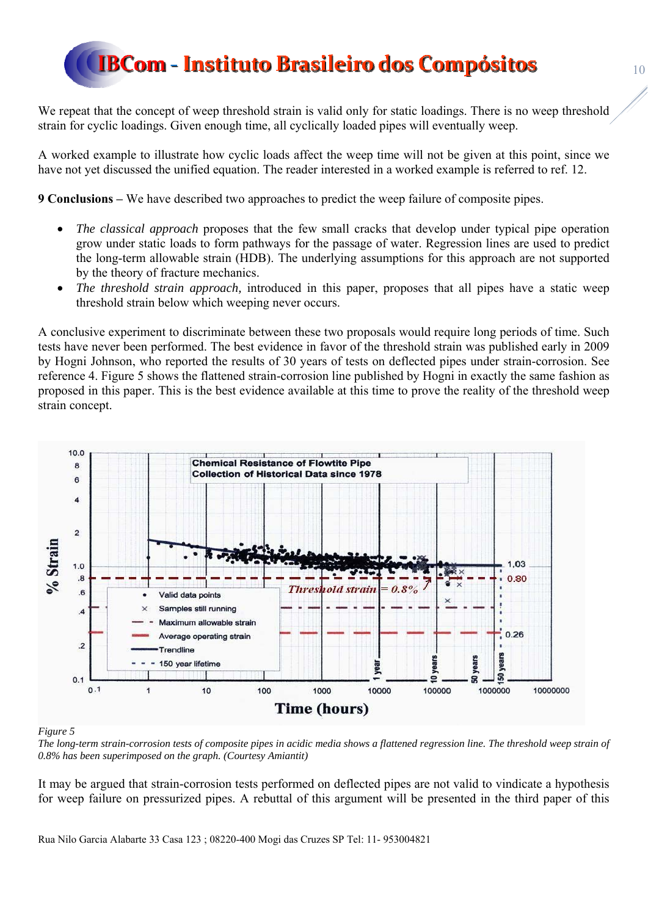We repeat that the concept of weep threshold strain is valid only for static loadings. There is no weep threshold strain for cyclic loadings. Given enough time, all cyclically loaded pipes will eventually weep.

A worked example to illustrate how cyclic loads affect the weep time will not be given at this point, since we have not yet discussed the unified equation. The reader interested in a worked example is referred to ref. 12.

**9 Conclusions –** We have described two approaches to predict the weep failure of composite pipes.

- *The classical approach* proposes that the few small cracks that develop under typical pipe operation grow under static loads to form pathways for the passage of water. Regression lines are used to predict the long-term allowable strain (HDB). The underlying assumptions for this approach are not supported by the theory of fracture mechanics.
- *The threshold strain approach,* introduced in this paper, proposes that all pipes have a static weep threshold strain below which weeping never occurs.

A conclusive experiment to discriminate between these two proposals would require long periods of time. Such tests have never been performed. The best evidence in favor of the threshold strain was published early in 2009 by Hogni Johnson, who reported the results of 30 years of tests on deflected pipes under strain-corrosion. See reference 4. Figure 5 shows the flattened strain-corrosion line published by Hogni in exactly the same fashion as proposed in this paper. This is the best evidence available at this time to prove the reality of the threshold weep strain concept.



#### *Figure 5*

*The long-term strain-corrosion tests of composite pipes in acidic media shows a flattened regression line. The threshold weep strain of 0.8% has been superimposed on the graph. (Courtesy Amiantit)* 

It may be argued that strain-corrosion tests performed on deflected pipes are not valid to vindicate a hypothesis for weep failure on pressurized pipes. A rebuttal of this argument will be presented in the third paper of this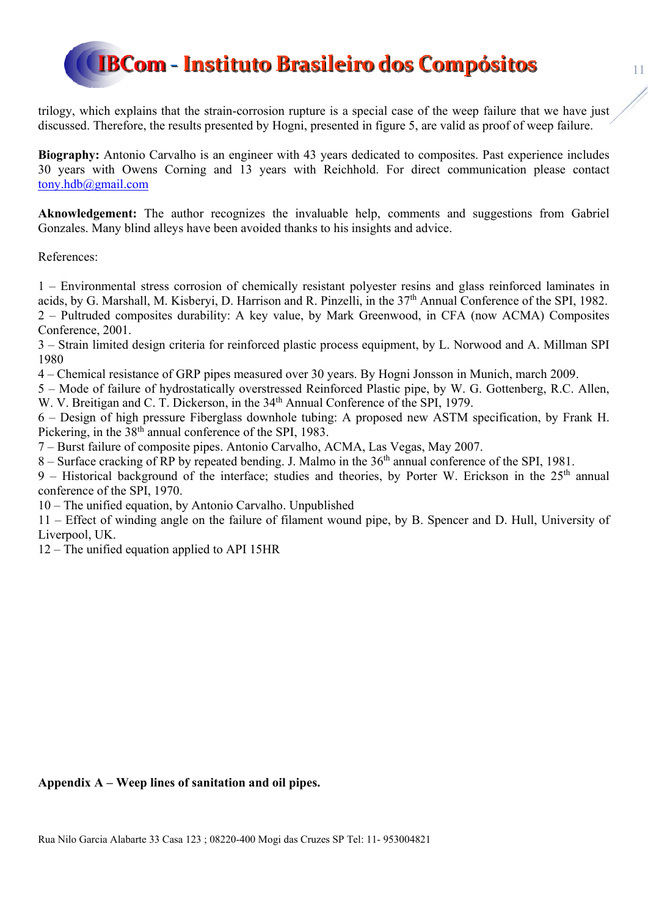trilogy, which explains that the strain-corrosion rupture is a special case of the weep failure that we have just discussed. Therefore, the results presented by Hogni, presented in figure 5, are valid as proof of weep failure.

**Biography:** Antonio Carvalho is an engineer with 43 years dedicated to composites. Past experience includes 30 years with Owens Corning and 13 years with Reichhold. For direct communication please contact tony.hdb@gmail.com

Aknowledgement: The author recognizes the invaluable help, comments and suggestions from Gabriel Gonzales. Many blind alleys have been avoided thanks to his insights and advice.

References:

1 – Environmental stress corrosion of chemically resistant polyester resins and glass reinforced laminates in acids, by G. Marshall, M. Kisberyi, D. Harrison and R. Pinzelli, in the 37<sup>th</sup> Annual Conference of the SPI, 1982. 2 – Pultruded composites durability: A key value, by Mark Greenwood, in CFA (now ACMA) Composites Conference, 2001.

3 – Strain limited design criteria for reinforced plastic process equipment, by L. Norwood and A. Millman SPI 1980

4 – Chemical resistance of GRP pipes measured over 30 years. By Hogni Jonsson in Munich, march 2009.

5 – Mode of failure of hydrostatically overstressed Reinforced Plastic pipe, by W. G. Gottenberg, R.C. Allen, W. V. Breitigan and C. T. Dickerson, in the 34<sup>th</sup> Annual Conference of the SPI, 1979.

6 – Design of high pressure Fiberglass downhole tubing: A proposed new ASTM specification, by Frank H. Pickering, in the 38<sup>th</sup> annual conference of the SPI, 1983.

7 – Burst failure of composite pipes. Antonio Carvalho, ACMA, Las Vegas, May 2007.

8 – Surface cracking of RP by repeated bending. J. Malmo in the 36<sup>th</sup> annual conference of the SPI, 1981.

9 – Historical background of the interface; studies and theories, by Porter W. Erickson in the 25<sup>th</sup> annual conference of the SPI, 1970.

10 – The unified equation, by Antonio Carvalho. Unpublished

11 – Effect of winding angle on the failure of filament wound pipe, by B. Spencer and D. Hull, University of Liverpool, UK.

12 – The unified equation applied to API 15HR

**Appendix A – Weep lines of sanitation and oil pipes.**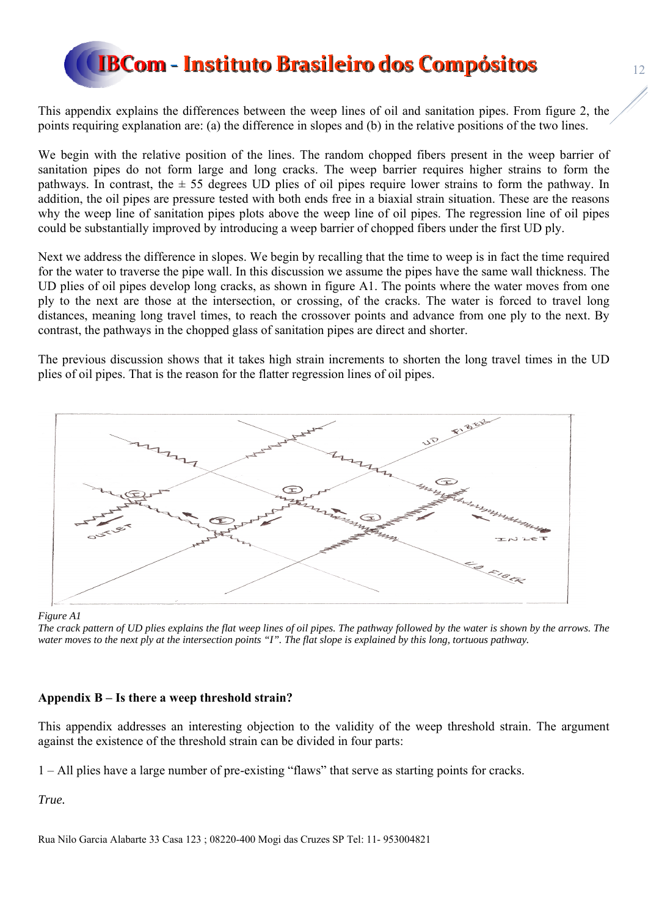This appendix explains the differences between the weep lines of oil and sanitation pipes. From figure 2, the points requiring explanation are: (a) the difference in slopes and (b) in the relative positions of the two lines.

We begin with the relative position of the lines. The random chopped fibers present in the weep barrier of sanitation pipes do not form large and long cracks. The weep barrier requires higher strains to form the pathways. In contrast, the  $\pm$  55 degrees UD plies of oil pipes require lower strains to form the pathway. In addition, the oil pipes are pressure tested with both ends free in a biaxial strain situation. These are the reasons why the weep line of sanitation pipes plots above the weep line of oil pipes. The regression line of oil pipes could be substantially improved by introducing a weep barrier of chopped fibers under the first UD ply.

Next we address the difference in slopes. We begin by recalling that the time to weep is in fact the time required for the water to traverse the pipe wall. In this discussion we assume the pipes have the same wall thickness. The UD plies of oil pipes develop long cracks, as shown in figure A1. The points where the water moves from one ply to the next are those at the intersection, or crossing, of the cracks. The water is forced to travel long distances, meaning long travel times, to reach the crossover points and advance from one ply to the next. By contrast, the pathways in the chopped glass of sanitation pipes are direct and shorter.

The previous discussion shows that it takes high strain increments to shorten the long travel times in the UD plies of oil pipes. That is the reason for the flatter regression lines of oil pipes.



*Figure A1* 

*The crack pattern of UD plies explains the flat weep lines of oil pipes. The pathway followed by the water is shown by the arrows. The water moves to the next ply at the intersection points "I". The flat slope is explained by this long, tortuous pathway.* 

### **Appendix B – Is there a weep threshold strain?**

This appendix addresses an interesting objection to the validity of the weep threshold strain. The argument against the existence of the threshold strain can be divided in four parts:

1 – All plies have a large number of pre-existing "flaws" that serve as starting points for cracks.

*True.*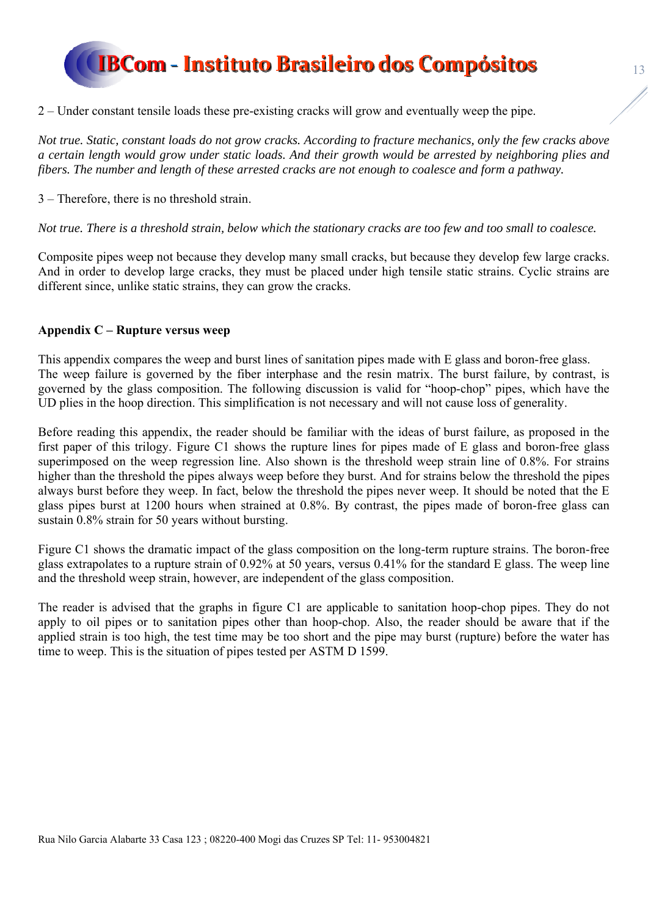2 – Under constant tensile loads these pre-existing cracks will grow and eventually weep the pipe.

*Not true. Static, constant loads do not grow cracks. According to fracture mechanics, only the few cracks above a certain length would grow under static loads. And their growth would be arrested by neighboring plies and fibers. The number and length of these arrested cracks are not enough to coalesce and form a pathway.* 

3 – Therefore, there is no threshold strain.

*Not true. There is a threshold strain, below which the stationary cracks are too few and too small to coalesce.* 

Composite pipes weep not because they develop many small cracks, but because they develop few large cracks. And in order to develop large cracks, they must be placed under high tensile static strains. Cyclic strains are different since, unlike static strains, they can grow the cracks.

#### **Appendix C – Rupture versus weep**

This appendix compares the weep and burst lines of sanitation pipes made with E glass and boron-free glass. The weep failure is governed by the fiber interphase and the resin matrix. The burst failure, by contrast, is governed by the glass composition. The following discussion is valid for "hoop-chop" pipes, which have the UD plies in the hoop direction. This simplification is not necessary and will not cause loss of generality.

Before reading this appendix, the reader should be familiar with the ideas of burst failure, as proposed in the first paper of this trilogy. Figure C1 shows the rupture lines for pipes made of E glass and boron-free glass superimposed on the weep regression line. Also shown is the threshold weep strain line of 0.8%. For strains higher than the threshold the pipes always weep before they burst. And for strains below the threshold the pipes always burst before they weep. In fact, below the threshold the pipes never weep. It should be noted that the E glass pipes burst at 1200 hours when strained at 0.8%. By contrast, the pipes made of boron-free glass can sustain 0.8% strain for 50 years without bursting.

Figure C1 shows the dramatic impact of the glass composition on the long-term rupture strains. The boron-free glass extrapolates to a rupture strain of 0.92% at 50 years, versus 0.41% for the standard E glass. The weep line and the threshold weep strain, however, are independent of the glass composition.

The reader is advised that the graphs in figure C1 are applicable to sanitation hoop-chop pipes. They do not apply to oil pipes or to sanitation pipes other than hoop-chop. Also, the reader should be aware that if the applied strain is too high, the test time may be too short and the pipe may burst (rupture) before the water has time to weep. This is the situation of pipes tested per ASTM D 1599.